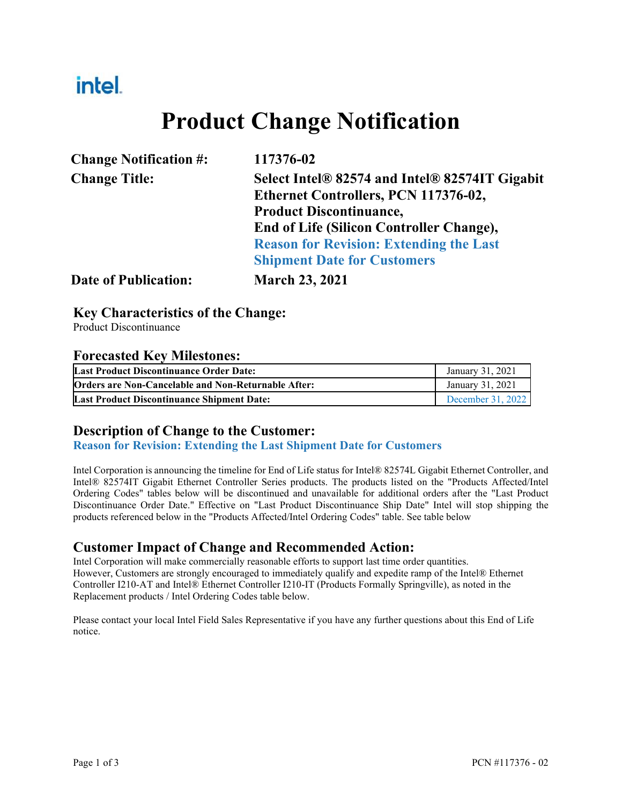## intel.

# **Product Change Notification**

|                      | <b>Change Notification #:</b> |
|----------------------|-------------------------------|
| <b>Change Title:</b> |                               |

**Change Notification #: 117376-02**

**Change Title: Select Intel® 82574 and Intel® 82574IT Gigabit Ethernet Controllers, PCN 117376-02, Product Discontinuance, End of Life (Silicon Controller Change), Reason for Revision: Extending the Last Shipment Date for Customers**

**Date of Publication: March 23, 2021**

#### **Key Characteristics of the Change:**

Product Discontinuance

#### **Forecasted Key Milestones:**

| Last Product Discontinuance Order Date:             | January 31, 2021  |
|-----------------------------------------------------|-------------------|
| Orders are Non-Cancelable and Non-Returnable After: | January 31, 2021  |
| <b>Last Product Discontinuance Shipment Date:</b>   | December 31, 2022 |

#### **Description of Change to the Customer:**

**Reason for Revision: Extending the Last Shipment Date for Customers** 

Intel Corporation is announcing the timeline for End of Life status for Intel® 82574L Gigabit Ethernet Controller, and Intel® 82574IT Gigabit Ethernet Controller Series products. The products listed on the "Products Affected/Intel Ordering Codes" tables below will be discontinued and unavailable for additional orders after the "Last Product Discontinuance Order Date." Effective on "Last Product Discontinuance Ship Date" Intel will stop shipping the products referenced below in the "Products Affected/Intel Ordering Codes" table. See table below

#### **Customer Impact of Change and Recommended Action:**

Intel Corporation will make commercially reasonable efforts to support last time order quantities. However, Customers are strongly encouraged to immediately qualify and expedite ramp of the Intel® Ethernet Controller I210-AT and Intel® Ethernet Controller I210-IT (Products Formally Springville), as noted in the Replacement products / Intel Ordering Codes table below.

Please contact your local Intel Field Sales Representative if you have any further questions about this End of Life notice.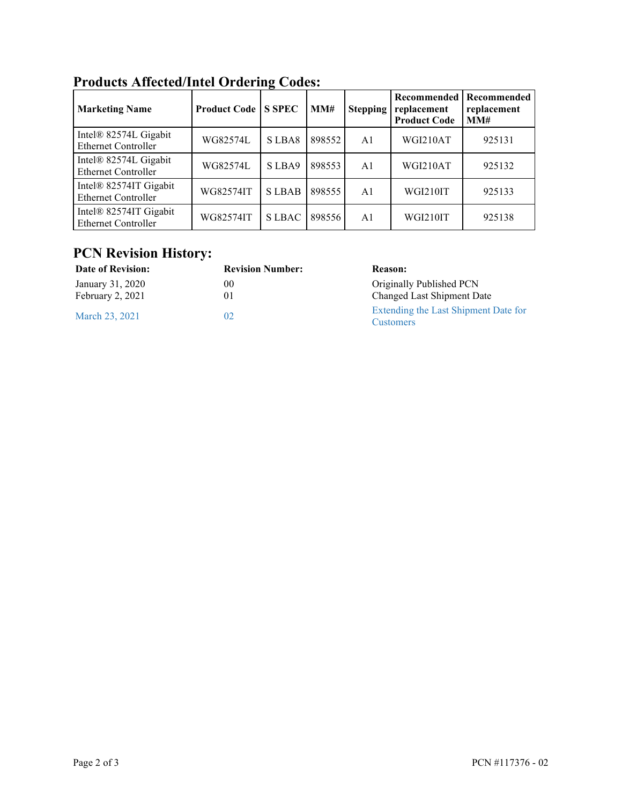| <b>Marketing Name</b>                                | <b>Product Code</b> | <b>S SPEC</b> | MM#    | <b>Stepping</b> | Recommended<br>replacement<br><b>Product Code</b> | Recommended<br>replacement<br>MM# |
|------------------------------------------------------|---------------------|---------------|--------|-----------------|---------------------------------------------------|-----------------------------------|
| Intel® 82574L Gigabit<br><b>Ethernet Controller</b>  | WG82574L            | SLBA8         | 898552 | A <sub>1</sub>  | WGI210AT                                          | 925131                            |
| Intel® 82574L Gigabit<br><b>Ethernet Controller</b>  | WG82574L            | S LBA9        | 898553 | A <sub>1</sub>  | WGI210AT                                          | 925132                            |
| Intel® 82574IT Gigabit<br><b>Ethernet Controller</b> | WG82574IT           | <b>SLBAB</b>  | 898555 | A <sub>1</sub>  | WGI210IT                                          | 925133                            |
| Intel® 82574IT Gigabit<br><b>Ethernet Controller</b> | WG82574IT           | <b>SLBAC</b>  | 898556 | A <sub>1</sub>  | WGI210IT                                          | 925138                            |

### **Products Affected/Intel Ordering Codes:**

#### **PCN Revision History:**

| Date of Revision:                    | <b>Revision Number:</b> | <b>Reason:</b>                                           |
|--------------------------------------|-------------------------|----------------------------------------------------------|
| January 31, 2020<br>February 2, 2021 | 00<br>01                | Originally Published PCN<br>Changed Last Shipment Date   |
| March 23, 2021                       | 02                      | Extending the Last Shipment Date for<br><b>Customers</b> |